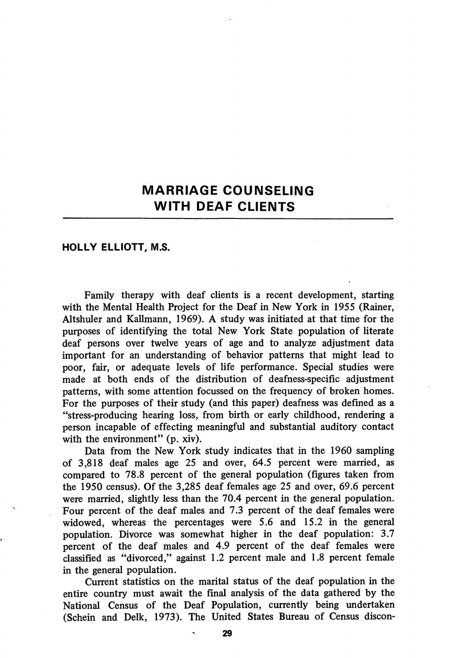## MARRIAGE COUNSELING WITH DEAF CLIENTS

## HOLLY ELLIOTT, M.S.

Family therapy with deaf clients is a recent development, starting with the Mental Health Project for the Deaf in New York in 1955 (Rainer, Altshuler and Kallmann, 1969). A study was initiated at that time for the purposes of identifying the total New York State population of literate deaf persons over twelve years of age and to analyze adjustment data important for an understanding of behavior patterns that might lead to poor, fair, or adequate levels of life performance. Special studies were made at both ends of the distribution of deafness-specific adjustment patterns, with some attention focussed on the frequency of broken homes. For the purposes of their study (and this paper) deafness was defined as a "stress-producing hearing loss, from birth or early childhood, rendering a person incapable of effecting meaningful and substantial auditory contact with the environment" (p. xiv).

Data from the New York study indicates that in the 1960 sampling of 3,818 deaf males age 25 and over, 64.5 percent were married, as compared to 78.8 percent of the general population (figures taken from the 1950 census). Of the 3,285 deaf females age 25 and over, 69.6 percent were married, slightly less than the 70.4 percent in the general population. Four percent of the deaf males and 7.3 percent of the deaf females were widowed, whereas the percentages were 5.6 and 15.2 in the general population. Divorce was somewhat higher in the deaf population: 3.7 percent of the deaf males and 4.9 percent of the deaf females were classified as "divorced," against 1.2 percent male and 1.8 percent female in the general population.

Current statistics on the marital status of the deaf population in the entire country must await the final analysis of the data gathered by the National Census of the Deaf Population, currently being undertaken (Schein and Delk, 1973). The United States Bureau of Census discon-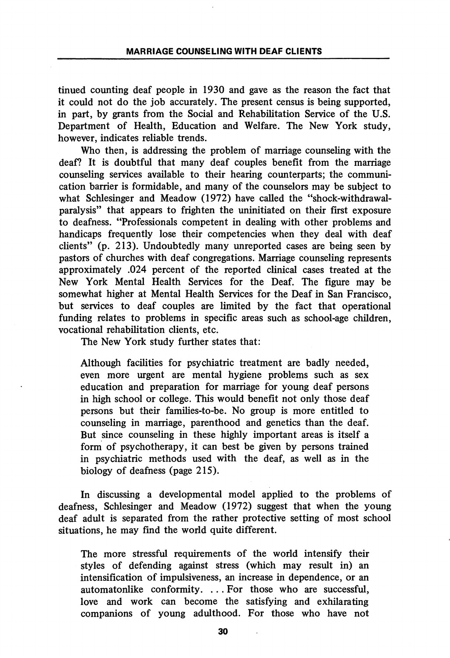tinued counting deaf people in 1930 and gave as the reason the fact that it could not do the job accurately. The present census is being supported, in part, by grants from the Social and Rehabilitation Service of the U.S. Department of Health, Education and Welfare. The New York study, however, indicates reliable trends.

Who then, is addressing the problem of marriage counseling with the deaf? It is doubtful that many deaf couples benefit from the marriage counseling services available to their hearing counterparts; the communi cation barrier is formidable, and many of the counselors may be subject to what Schlesinger and Meadow (1972) have called the "shock-withdrawalparalysis" that appears to frighten the uninitiated on their first exposure to deafness. "Professionals competent in dealing with other problems and handicaps frequently lose their competencies when they deal with deaf clients" (p. 213). Undoubtedly many unreported cases are being seen by pastors of churches with deaf congregations. Marriage counseling represents approximately .024 percent of the reported clinical cases treated at the New York Mental Health Services for the Deaf. The figure may be somewhat higher at Mental Health Services for the Deaf in San Francisco, but services to deaf couples are limited by the fact that operational funding relates to problems in specific areas such as school-age children, vocational rehabilitation clients, etc.

The New York study further states that:

Although facilities for psychiatric treatment are badly needed, even more urgent are mental hygiene problems such as sex education and preparation for marriage for young deaf persons in high school or college. This would benefit not only those deaf persons but their families-to-be. No group is more entitled to counseling in marriage, parenthood and genetics than the deaf. But since counseling in these highly important areas is itself a form of psychotherapy, it can best be given by persons trained in psychiatric methods used with the deaf, as well as in the biology of deafness (page 215).

In discussing a developmental model apphed to the problems of deafness, Schlesinger and Meadow  $(1972)$  suggest that when the young deaf adult is separated from the rather protective setting of most school situations, he may find the world quite different.

The more stressful requirements of the world intensify their styles of defending against stress (which may result in) an intensification of impulsiveness, an increase in dependence, or an automatonlike conformity. ... For those who are successful, love and work can become the satisfying and exhilarating companions of young adulthood. For those who have not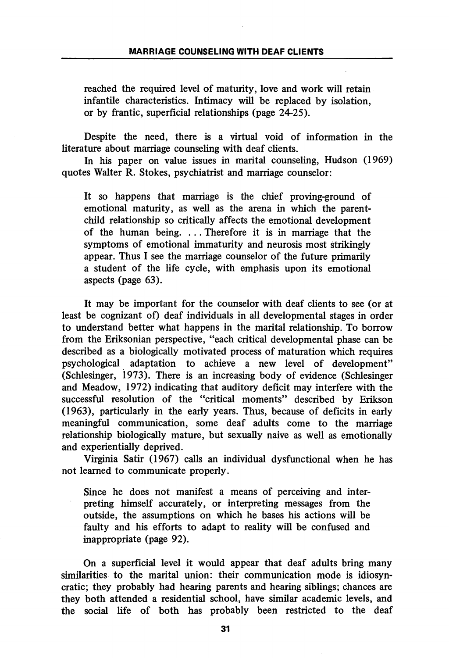reached the required level of maturity, love and work will retain infantile characteristics. Intimacy will be replaced by isolation, or by frantic, superficial relationships (page 24-25).

Despite the need, there is a virtual void of information in the literature about marriage counseling with deaf clients.

In his paper on value issues in marital counseling, Hudson (1969) quotes Walter R. Stokes, psychiatrist and marriage counselor:

It so happens that marriage is the chief proving-ground of emotional maturity, as well as the arena in which the parentchild relationship so critically affects the emotional development of the human being. ... Therefore it is in marriage that the symptoms of emotional immaturity and neurosis most strikingly appear. Thus I see the marriage counselor of the future primarily a student of the life cycle, with emphasis upon its emotional aspects (page 63).

It may be important for the counselor with deaf clients to see (or at least be cognizant of) deaf individuals in all developmental stages in order to understand better what happens in the marital relationship. To borrow from the Eriksonian perspective, "each critical developmental phase can be described as a biologically motivated process of maturation which requires psychological adaptation to achieve a new level of development" (Schlesinger, 1973). There is an increasing body of evidence (Schlesinger and Meadow, 1972) indicating that auditory deficit may interfere with the successful resolution of the "critical moments" described by Erikson (1963), particularly in the early years. Thus, because of deficits in early meaningful communication, some deaf adults come to the marriage relationship biologically mature, but sexually naive as well as emotionally and experientially deprived.

Virginia Satir (1967) calls an individual dysfunctional when he has not learned to communicate properly.

Since he does not manifest a means of perceiving and inter preting himself accurately, or interpreting messages from the outside, the assumptions on which he bases his actions will be faulty and his efforts to adapt to reality will be confused and inappropriate (page 92).

On a superficial level it would appear that deaf adults bring many similarities to the marital union: their communication mode is idiosyncratic; they probably had hearing parents and hearing siblings; chances are they both attended a residential school, have similar academic levels, and the social life of both has probably been restricted to the deaf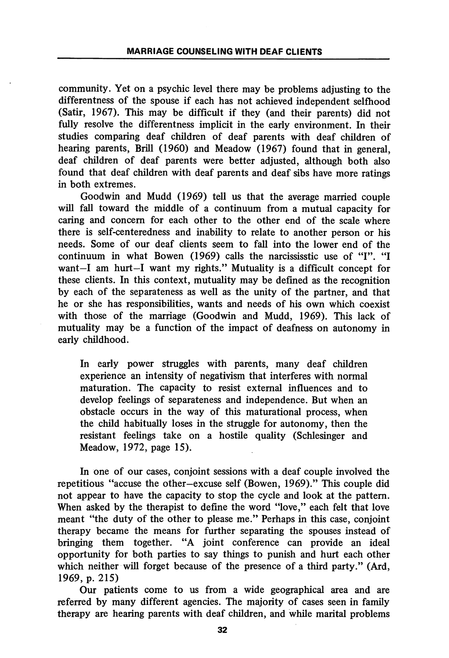community. Yet on a psychic level there may be problems adjusting to the differentness of the spouse if each has not achieved independent selfhood (Satir, 1967). This may be difficult if they (and their parents) did not fully resolve the differentness implicit in the early environment. In their studies comparing deaf children of deaf parents with deaf children of hearing parents, Brill (1960) and Meadow (1967) found that in general, deaf children of deaf parents were better adjusted, although both also found that deaf children with deaf parents and deaf sibs have more ratings in both extremes.

Goodwin and Mudd (1969) tell us that the average married couple will fall toward the middle of a continuum from a mutual capacity for caring and concern for each other to the other end of the scale where there is self-centeredness and inability to relate to another person or his needs. Some of our deaf clients seem to fall into the lower end of the continuum in what Bowen (1969) calls the narcississtic use of "I". "I want—I am hurt—I want my rights." Mutuality is a difficult concept for these clients. In this context, mutuality may be defined as the recognition by each of the separateness as well as the unity of the partner, and that he or she has responsibilities, wants and needs of his own which coexist with those of the marriage (Goodwin and Mudd, 1969). This lack of mutuality may be a function of the impact of deafness on autonomy in early childhood.

In early power struggles with parents, many deaf children experience an intensity of negativism that interferes with normal maturation. The capacity to resist external influences and to develop feelings of separateness and independence. But when an obstacle occurs in the way of this maturational process, when the child habitually loses in the struggle for autonomy, then the resistant feelings take on a hostile quality (Schlesinger and Meadow, 1972, page 15).

In one of our cases, conjoint sessions with a deaf couple involved the repetitious "accuse the other—excuse self (Bowen, 1969)." This couple did not appear to have the capacity to stop the cycle and look at the pattern. When asked by the therapist to define the word "love," each felt that love meant "the duty of the other to please me." Perhaps in this case, conjoint therapy became the means for further separating the spouses instead of bringing them together. "A joint conference can provide an ideal opportunity for both parties to say things to punish and hurt each other which neither will forget because of the presence of a third party." (Ard, 1969, p. 215)

Our patients come to us from a wide geographical area and are referred by many different agencies. The majority of cases seen in family therapy are hearing parents with deaf children, and while marital problems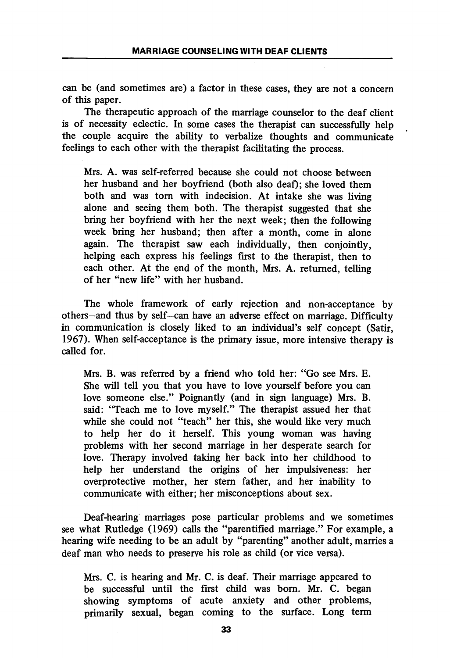can be (and sometimes are) a factor in these cases, they are not a concern of this paper.

The therapeutic approach of the marriage counselor to the deaf client is of necessity eclectic. In some cases the therapist can successfully help the couple acquire the ability to verbalize thoughts and communicate feelings to each other with the therapist facilitating the process.

Mrs. A. was self-referred because she could not choose between her husband and her boyfriend (both also deaf); she loved them both and was torn with indecision. At intake she was living alone and seeing them both. The therapist suggested that she bring her boyfriend with her the next week; then the following week bring her husband; then after a month, come in alone again. The therapist saw each individually, then conjointly, helping each express his feelings first to the therapist, then to each other. At the end of the month, Mrs. A. returned, telling of her "new life" with her husband.

The whole framework of early rejection and non-acceptance by others—and thus by self—can have an adverse effect on marriage. Difficulty in communication is closely liked to an individual's self concept (Satir, 1967). When self-acceptance is the primary issue, more intensive therapy is called for.

Mrs. B. was referred by a friend who told her; "Go see Mrs. E. She will tell you that you have to love yourself before you can love someone else." Poignantly (and in sign language) Mrs. B. said: "Teach me to love myself." The therapist assued her that while she could not "teach" her this, she would like very much to help her do it herself. This young woman was having problems with her second marriage in her desperate search for love. Therapy involved taking her back into her childhood to help her imderstand the origins of her impulsiveness: her overprotective mother, her stem father, and her inability to communicate with either; her misconceptions about sex.

Deaf-hearing marriages pose particular problems and we sometimes see what Rutledge (1969) calls the "parentified marriage." For example, a hearing wife needing to be an adult by "parenting" another adult, marries a deaf man who needs to preserve his role as child (or vice versa).

Mrs. C. is hearing and Mr. C. is deaf. Their marriage appeared to be successful until the first child was born. Mr. C. began showing symptoms of acute anxiety and other problems, primarily sexual, began coming to the surface. Long term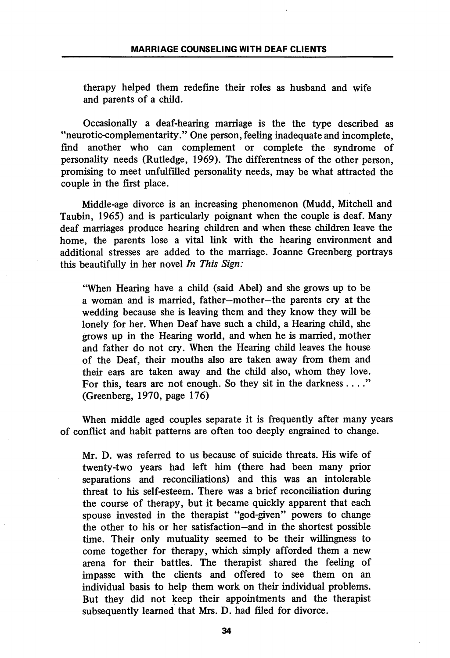therapy helped them redefine their roles as husband and wife and parents of a child.

Occasionally a deaf-hearing marriage is the the type described as "neurotic-complementarity." One person, feeling inadequate and incomplete, find another who can complement or complete the syndrome of personality needs (Rutledge, 1969). The differentness of the other person, promising to meet unfulfilled personality needs, may be what attracted the couple in the first place.

Middle-age divorce is an increasing phenomenon (Mudd, Mitchell and Taubin, 1965) and is particularly poignant when the couple is deaf. Many deaf marriages produce hearing children and when these children leave the home, the parents lose a vital link with the hearing environment and additional stresses are added to the marriage. Joanne Greenberg portrays this beautifully in her novel In This Sign:

"When Hearing have a child (said Abel) and she grows up to be a woman and is married, father—mother—the parents cry at the wedding because she is leaving them and they know they will be lonely for her. When Deaf have such a child, a Hearing child, she grows up in the Hearing world, and when he is married, mother and father do not cry. When the Hearing child leaves the house of the Deaf, their mouths also are taken away from them and their ears are taken away and the child also, whom they love. For this, tears are not enough. So they sit in the darkness ...." (Greenberg, 1970, page 176)

When middle aged couples separate it is frequently after many years of conflict and habit patterns are often too deeply engrained to change.

Mr. D. was referred to us because of suicide threats. His wife of twenty-two years had left him (there had been many prior separations and reconciliations) and this was an intolerable threat to his self-esteem. There was a brief reconciliation during the course of therapy, but it became quickly apparent that each spouse invested in the therapist "god-given" powers to change the other to his or her satisfaction—and in the shortest possible time. Their only mutuality seemed to be their willingness to come together for therapy, which simply afforded them a new arena for their battles. The therapist shared the feeling of impasse with the clients and offered to see them on an individual basis to help them work on their individual problems. But they did not keep their appointments and the therapist subsequently learned that Mrs. D. had filed for divorce.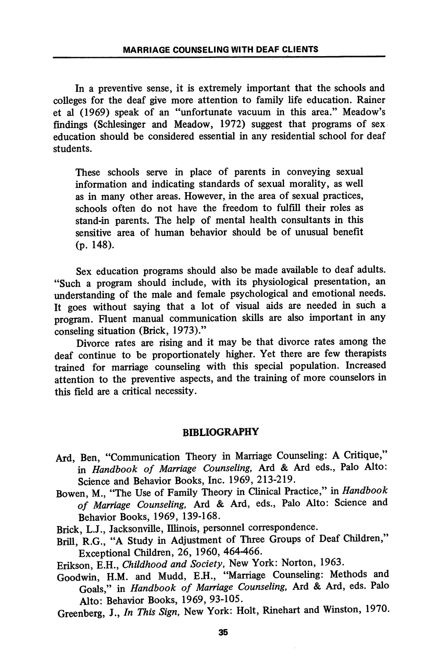In a preventive sense, it is extremely important that the schools and colleges for the deaf give more attention to family life education. Rainer et al (1969) speak of an "unfortunate vacuum in this area." Meadow's findings (Schlesinger and Meadow, 1972) suggest that programs of sex education should be considered essential in any residential school for deaf students.

These schools serve in place of parents in conveying sexual information and indicating standards of sexual morality, as well as in many other areas. However, in the area of sexual practices, schools often do not have the freedom to fulfill their roles as stand-in parents. The help of mental health consultants in this sensitive area of human behavior should be of unusual benefit (p. 148).

Sex education programs should also be made available to deaf adults. "Such a program should include, with its physiological presentation, an understanding of the male and female psychological and emotional needs. It goes without saying that a lot of visual aids are needed in such a program. Fluent manual communication skills are also important in any conseling situation (Brick, 1973)."

Divorce rates are rising and it may be that divorce rates among the deaf continue to be proportionately higher. Yet there are few therapists trained for marriage counseling with this special population. Increased attention to the preventive aspects, and the training of more counselors in this field are a critical necessity.

## BIBLIOGRAPHY

- Ard, Ben, "Communication Theory in Marriage Counseling: A Critique," in Handbook of Marriage Counseling, Ard & Ard eds., Palo Alto: Science and Behavior Books, Inc. 1969, 213-219.
- Bowen, M., "The Use of Family Theory in Clinical Practice," in Handbook of Marriage Counseling, Ard & Ard, eds., Palo Alto: Science and Behavior Books, 1969, 139-168.
- Brick, L.J., Jacksonville, Illinois, personnel correspondence.
- Brill, R.G., "A Study in Adjustment of Three Groups of Deaf Children," Exceptional Children, 26, 1960, 464-466.

Erikson, E.H., Childhood and Society, New York: Norton, 1963.

- Goodwin, H.M. and Mudd, E.H., "Marriage Counseling: Methods and Goals," in Handbook of Marriage Counseling, Ard & Ard, eds. Palo Alto: Behavior Books, 1969, 93-105.
- Greenberg, J., In This Sign, New York: Holt, Rinehart and Winston, 1970.